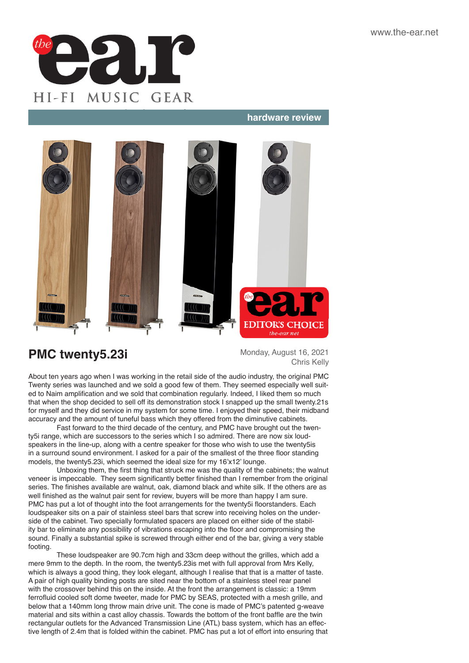

### **hardware review hardware review**



# **PMC twenty5.23i** Monday, August 16, 2021

Chris Kelly

About ten years ago when I was working in the retail side of the audio industry, the original PMC Twenty series was launched and we sold a good few of them. They seemed especially well suited to Naim amplification and we sold that combination regularly. Indeed, I liked them so much that when the shop decided to sell off its demonstration stock I snapped up the small twenty.21s for myself and they did service in my system for some time. I enjoyed their speed, their midband accuracy and the amount of tuneful bass which they offered from the diminutive cabinets.

Fast forward to the third decade of the century, and PMC have brought out the twenty5i range, which are successors to the series which I so admired. There are now six loudspeakers in the line-up, along with a centre speaker for those who wish to use the twenty5is in a surround sound environment. I asked for a pair of the smallest of the three floor standing models, the twenty5.23i, which seemed the ideal size for my 16'x12' lounge.

Unboxing them, the first thing that struck me was the quality of the cabinets; the walnut veneer is impeccable. They seem significantly better finished than I remember from the original series. The finishes available are walnut, oak, diamond black and white silk. If the others are as well finished as the walnut pair sent for review, buyers will be more than happy I am sure. PMC has put a lot of thought into the foot arrangements for the twenty5i floorstanders. Each loudspeaker sits on a pair of stainless steel bars that screw into receiving holes on the underside of the cabinet. Two specially formulated spacers are placed on either side of the stability bar to eliminate any possibility of vibrations escaping into the floor and compromising the sound. Finally a substantial spike is screwed through either end of the bar, giving a very stable footing.

These loudspeaker are 90.7cm high and 33cm deep without the grilles, which add a mere 9mm to the depth. In the room, the twenty5.23is met with full approval from Mrs Kelly, which is always a good thing, they look elegant, although I realise that that is a matter of taste. A pair of high quality binding posts are sited near the bottom of a stainless steel rear panel with the crossover behind this on the inside. At the front the arrangement is classic: a 19mm ferrofluid cooled soft dome tweeter, made for PMC by SEAS, protected with a mesh grille, and below that a 140mm long throw main drive unit. The cone is made of PMC's patented g-weave material and sits within a cast alloy chassis. Towards the bottom of the front baffle are the twin rectangular outlets for the Advanced Transmission Line (ATL) bass system, which has an effective length of 2.4m that is folded within the cabinet. PMC has put a lot of effort into ensuring that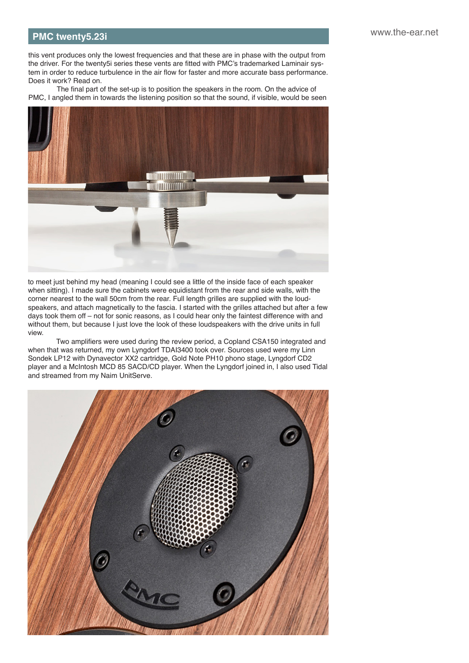## **hardware review in the review in the review of the review in the review of the review in the www.the-ear.net PMC twenty5.23i**

this vent produces only the lowest frequencies and that these are in phase with the output from the driver. For the twenty5i series these vents are fitted with PMC's trademarked Laminair system in order to reduce turbulence in the air flow for faster and more accurate bass performance. Does it work? Read on.

The final part of the set-up is to position the speakers in the room. On the advice of PMC, I angled them in towards the listening position so that the sound, if visible, would be seen



to meet just behind my head (meaning I could see a little of the inside face of each speaker when sitting). I made sure the cabinets were equidistant from the rear and side walls, with the corner nearest to the wall 50cm from the rear. Full length grilles are supplied with the loudspeakers, and attach magnetically to the fascia. I started with the grilles attached but after a few days took them off – not for sonic reasons, as I could hear only the faintest difference with and without them, but because I just love the look of these loudspeakers with the drive units in full view.

Two amplifiers were used during the review period, a Copland CSA150 integrated and when that was returned, my own Lyngdorf TDAI3400 took over. Sources used were my Linn Sondek LP12 with Dynavector XX2 cartridge, Gold Note PH10 phono stage, Lyngdorf CD2 player and a McIntosh MCD 85 SACD/CD player. When the Lyngdorf joined in, I also used Tidal and streamed from my Naim UnitServe.

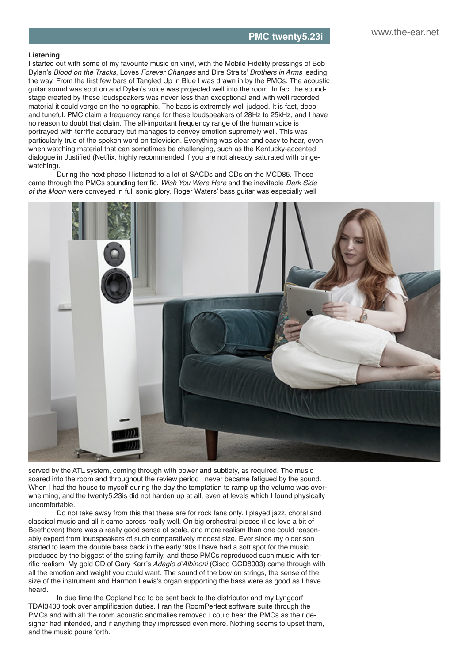#### **Listening**

I started out with some of my favourite music on vinyl, with the Mobile Fidelity pressings of Bob Dylan's *Blood on the Tracks*, Loves *Forever Changes* and Dire Straits' *Brothers in Arms* leading the way. From the first few bars of Tangled Up in Blue I was drawn in by the PMCs. The acoustic guitar sound was spot on and Dylan's voice was projected well into the room. In fact the soundstage created by these loudspeakers was never less than exceptional and with well recorded material it could verge on the holographic. The bass is extremely well judged. It is fast, deep and tuneful. PMC claim a frequency range for these loudspeakers of 28Hz to 25kHz, and I have no reason to doubt that claim. The all-important frequency range of the human voice is portrayed with terrific accuracy but manages to convey emotion supremely well. This was particularly true of the spoken word on television. Everything was clear and easy to hear, even when watching material that can sometimes be challenging, such as the Kentucky-accented dialogue in Justified (Netflix, highly recommended if you are not already saturated with bingewatching).

During the next phase I listened to a lot of SACDs and CDs on the MCD85. These came through the PMCs sounding terrific. *Wish You Were Here* and the inevitable *Dark Side of the Moon* were conveyed in full sonic glory. Roger Waters' bass guitar was especially well



served by the ATL system, coming through with power and subtlety, as required. The music soared into the room and throughout the review period I never became fatigued by the sound. When I had the house to myself during the day the temptation to ramp up the volume was overwhelming, and the twenty5.23is did not harden up at all, even at levels which I found physically uncomfortable.

Do not take away from this that these are for rock fans only. I played jazz, choral and classical music and all it came across really well. On big orchestral pieces (I do love a bit of Beethoven) there was a really good sense of scale, and more realism than one could reasonably expect from loudspeakers of such comparatively modest size. Ever since my older son started to learn the double bass back in the early '90s I have had a soft spot for the music produced by the biggest of the string family, and these PMCs reproduced such music with terrific realism. My gold CD of Gary Karr's Adagio d'Albinoni (Cisco GCD8003) came through with all the emotion and weight you could want. The sound of the bow on strings, the sense of the size of the instrument and Harmon Lewis's organ supporting the bass were as good as I have heard.

In due time the Copland had to be sent back to the distributor and my Lyngdorf TDAI3400 took over amplification duties. I ran the RoomPerfect software suite through the PMCs and with all the room acoustic anomalies removed I could hear the PMCs as their designer had intended, and if anything they impressed even more. Nothing seems to upset them, and the music pours forth.